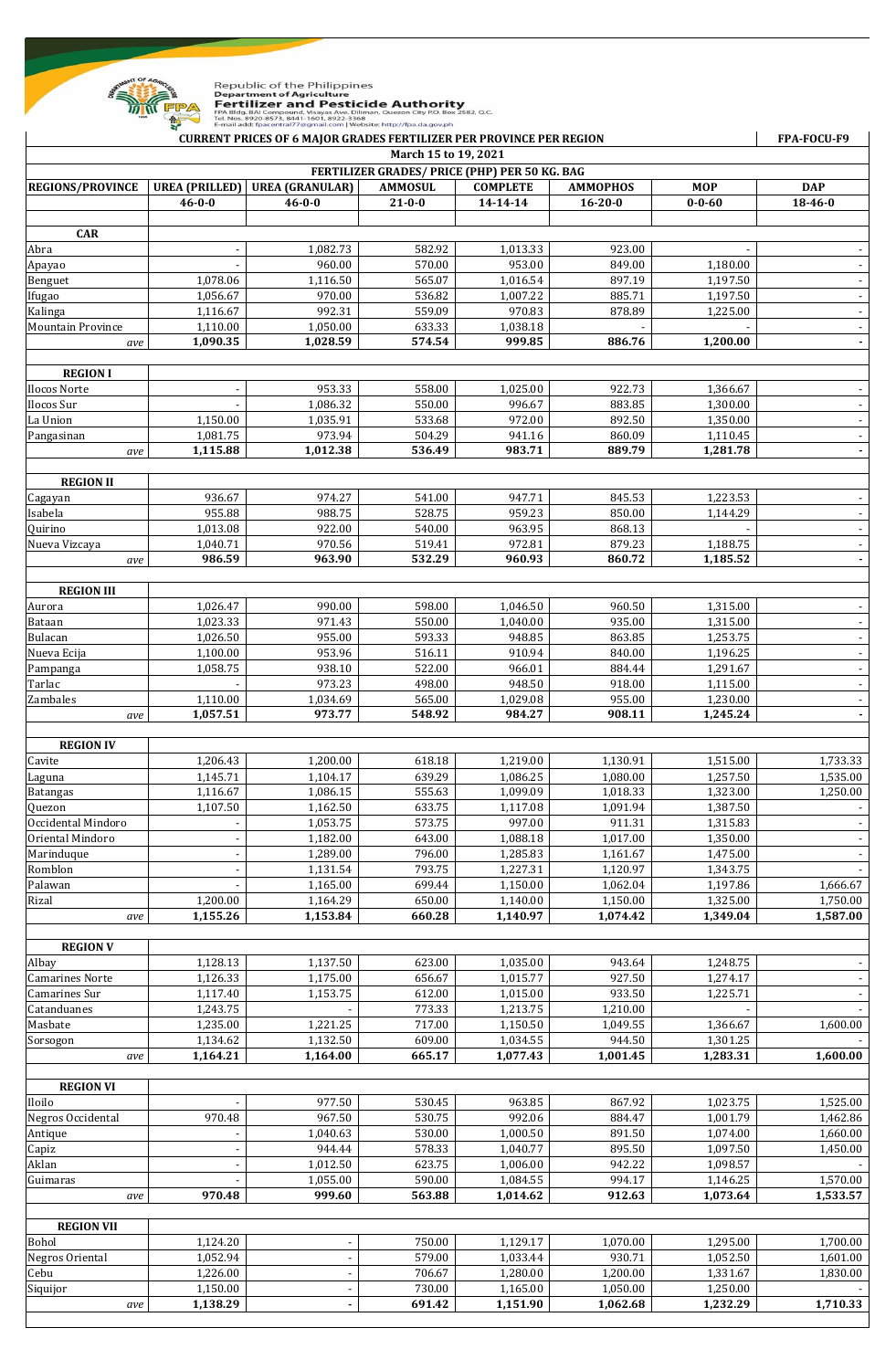

Republic of the Philippines<br>**Department of Agriculture<br>FRET LIIZER and Pesticide Authority**<br>FPA BIdg. BAI Compound: Visayas Ave. Diliman, Quezon City P.O. Box 2582, Q.C.<br>Tel. Nos. 8920-8573, 8441-1601, 8922-3368<br>E-mail add

|                                                                       |                       | E-mail add: fpacentral77@gmail.com   Website: http://fpa.da.gov.ph<br><b>CURRENT PRICES OF 6 MAJOR GRADES FERTILIZER PER PROVINCE PER REGION</b> |                  |                      |                      |                       | FPA-FOCU-F9              |  |  |
|-----------------------------------------------------------------------|-----------------------|--------------------------------------------------------------------------------------------------------------------------------------------------|------------------|----------------------|----------------------|-----------------------|--------------------------|--|--|
| March 15 to 19, 2021<br>FERTILIZER GRADES/ PRICE (PHP) PER 50 KG. BAG |                       |                                                                                                                                                  |                  |                      |                      |                       |                          |  |  |
| <b>REGIONS/PROVINCE</b>                                               | <b>UREA (PRILLED)</b> | <b>UREA (GRANULAR)</b>                                                                                                                           | <b>AMMOSUL</b>   | <b>COMPLETE</b>      | <b>AMMOPHOS</b>      | <b>MOP</b>            | <b>DAP</b>               |  |  |
|                                                                       | $46 - 0 - 0$          | $46 - 0 - 0$                                                                                                                                     | $21 - 0 - 0$     | 14-14-14             | $16 - 20 - 0$        | $0 - 0 - 60$          | $18 - 46 - 0$            |  |  |
|                                                                       |                       |                                                                                                                                                  |                  |                      |                      |                       |                          |  |  |
| <b>CAR</b>                                                            |                       |                                                                                                                                                  |                  |                      |                      |                       |                          |  |  |
| Abra                                                                  |                       | 1,082.73                                                                                                                                         | 582.92           | 1,013.33             | 923.00               |                       |                          |  |  |
| Apayao                                                                |                       | 960.00                                                                                                                                           | 570.00           | 953.00               | 849.00               | 1,180.00              |                          |  |  |
| Benguet                                                               | 1,078.06              | 1,116.50                                                                                                                                         | 565.07           | 1,016.54             | 897.19               | 1,197.50              | $\overline{\phantom{a}}$ |  |  |
| Ifugao                                                                | 1,056.67              | 970.00                                                                                                                                           | 536.82           | 1,007.22             | 885.71               | 1,197.50              |                          |  |  |
| Kalinga                                                               | 1,116.67              | 992.31                                                                                                                                           | 559.09           | 970.83               | 878.89               | 1,225.00              | $\overline{\phantom{a}}$ |  |  |
| <b>Mountain Province</b><br>ave                                       | 1,110.00<br>1,090.35  | 1,050.00<br>1,028.59                                                                                                                             | 633.33<br>574.54 | 1,038.18<br>999.85   | 886.76               | 1,200.00              |                          |  |  |
|                                                                       |                       |                                                                                                                                                  |                  |                      |                      |                       | $\blacksquare$           |  |  |
| <b>REGION I</b>                                                       |                       |                                                                                                                                                  |                  |                      |                      |                       |                          |  |  |
| Ilocos Norte                                                          |                       | 953.33                                                                                                                                           | 558.00           | 1,025.00             | 922.73               | 1,366.67              |                          |  |  |
| Ilocos Sur                                                            |                       | 1,086.32                                                                                                                                         | 550.00           | 996.67               | 883.85               | 1,300.00              | $\overline{\phantom{a}}$ |  |  |
| La Union                                                              | 1,150.00              | 1,035.91                                                                                                                                         | 533.68           | 972.00               | 892.50               | 1,350.00              |                          |  |  |
| Pangasinan                                                            | 1,081.75              | 973.94                                                                                                                                           | 504.29           | 941.16               | 860.09               | 1,110.45              | $\overline{\phantom{a}}$ |  |  |
| ave                                                                   | 1,115.88              | 1,012.38                                                                                                                                         | 536.49           | 983.71               | 889.79               | 1,281.78              |                          |  |  |
|                                                                       |                       |                                                                                                                                                  |                  |                      |                      |                       |                          |  |  |
| <b>REGION II</b>                                                      |                       |                                                                                                                                                  |                  |                      |                      |                       |                          |  |  |
| Cagayan                                                               | 936.67                | 974.27                                                                                                                                           | 541.00           | 947.71               | 845.53               | 1,223.53              |                          |  |  |
| Isabela                                                               | 955.88                | 988.75                                                                                                                                           | 528.75           | 959.23               | 850.00               | 1,144.29              | $\overline{\phantom{a}}$ |  |  |
| <b>Quirino</b>                                                        | 1,013.08              | 922.00                                                                                                                                           | 540.00           | 963.95               | 868.13               |                       |                          |  |  |
| Nueva Vizcaya                                                         | 1,040.71              | 970.56                                                                                                                                           | 519.41           | 972.81               | 879.23               | 1,188.75              |                          |  |  |
| ave                                                                   | 986.59                | 963.90                                                                                                                                           | 532.29           | 960.93               | 860.72               | 1,185.52              |                          |  |  |
| <b>REGION III</b>                                                     |                       |                                                                                                                                                  |                  |                      |                      |                       |                          |  |  |
| Aurora                                                                | 1,026.47              | 990.00                                                                                                                                           | 598.00           | 1,046.50             | 960.50               | 1,315.00              |                          |  |  |
| Bataan                                                                | 1,023.33              | 971.43                                                                                                                                           | 550.00           | 1,040.00             | 935.00               | $\overline{1,}315.00$ |                          |  |  |
| Bulacan                                                               | 1,026.50              | 955.00                                                                                                                                           | 593.33           | 948.85               | 863.85               | 1,253.75              | $\overline{\phantom{a}}$ |  |  |
| Nueva Ecija                                                           | 1,100.00              | 953.96                                                                                                                                           | 516.11           | 910.94               | 840.00               | 1,196.25              |                          |  |  |
| Pampanga                                                              | 1,058.75              | 938.10                                                                                                                                           | 522.00           | 966.01               | 884.44               | 1,291.67              | $\overline{\phantom{a}}$ |  |  |
| Tarlac                                                                |                       | 973.23                                                                                                                                           | 498.00           | 948.50               | 918.00               | 1,115.00              |                          |  |  |
| Zambales                                                              | 1,110.00              | 1,034.69                                                                                                                                         | 565.00           | 1,029.08             | 955.00               | 1,230.00              |                          |  |  |
| ave                                                                   | 1,057.51              | 973.77                                                                                                                                           | 548.92           | 984.27               | 908.11               | 1,245.24              |                          |  |  |
|                                                                       |                       |                                                                                                                                                  |                  |                      |                      |                       |                          |  |  |
| <b>REGION IV</b>                                                      |                       |                                                                                                                                                  |                  |                      |                      |                       |                          |  |  |
| Cavite                                                                | 1,206.43              | 1,200.00                                                                                                                                         | 618.18           | 1,219.00             | 1,130.91             | 1,515.00              | 1,733.33                 |  |  |
| Laguna                                                                | 1,145.71              | 1,104.17                                                                                                                                         | 639.29           | 1,086.25             | 1,080.00             | 1.257.50              | 1,535.00                 |  |  |
| <b>Batangas</b><br>Quezon                                             | 1,116.67<br>1,107.50  | 1,086.15<br>1,162.50                                                                                                                             | 555.63<br>633.75 | 1,099.09<br>1,117.08 | 1,018.33<br>1,091.94 | 1,323.00<br>1,387.50  | 1,250.00                 |  |  |
| Occidental Mindoro                                                    |                       | 1,053.75                                                                                                                                         | 573.75           | 997.00               | 911.31               | 1,315.83              |                          |  |  |
| Oriental Mindoro                                                      |                       | 1,182.00                                                                                                                                         | 643.00           | 1,088.18             | 1,017.00             | 1,350.00              |                          |  |  |
| Marinduque                                                            |                       | 1,289.00                                                                                                                                         | 796.00           | 1,285.83             | 1,161.67             | 1,475.00              |                          |  |  |
| Romblon                                                               |                       | 1,131.54                                                                                                                                         | 793.75           | 1,227.31             | 1,120.97             | 1,343.75              |                          |  |  |
| Palawan                                                               |                       | 1,165.00                                                                                                                                         | 699.44           | 1,150.00             | 1,062.04             | 1,197.86              | 1,666.67                 |  |  |
| Rizal                                                                 | 1,200.00              | 1,164.29                                                                                                                                         | 650.00           | 1,140.00             | 1,150.00             | 1,325.00              | 1,750.00                 |  |  |
| ave                                                                   | 1,155.26              | 1,153.84                                                                                                                                         | 660.28           | 1,140.97             | 1,074.42             | 1,349.04              | 1,587.00                 |  |  |
|                                                                       |                       |                                                                                                                                                  |                  |                      |                      |                       |                          |  |  |
| <b>REGION V</b>                                                       |                       |                                                                                                                                                  |                  |                      |                      |                       |                          |  |  |
| Albay                                                                 | 1,128.13              | 1,137.50                                                                                                                                         | 623.00           | 1,035.00             | 943.64               | 1,248.75              |                          |  |  |
| <b>Camarines Norte</b>                                                | 1,126.33              | 1,175.00                                                                                                                                         | 656.67           | 1,015.77             | 927.50               | 1,274.17              |                          |  |  |
| Camarines Sur                                                         | 1,117.40              | 1,153.75                                                                                                                                         | 612.00           | 1,015.00             | 933.50               | 1,225.71              |                          |  |  |
| Catanduanes                                                           | 1,243.75              |                                                                                                                                                  | 773.33           | 1,213.75             | 1,210.00             |                       |                          |  |  |
| Masbate                                                               | 1,235.00              | 1,221.25                                                                                                                                         | 717.00           | 1,150.50             | 1,049.55             | 1,366.67              | 1,600.00                 |  |  |
| Sorsogon                                                              | 1,134.62              | 1,132.50                                                                                                                                         | 609.00           | 1,034.55             | 944.50               | 1,301.25              |                          |  |  |
| ave                                                                   | 1,164.21              | 1,164.00                                                                                                                                         | 665.17           | 1,077.43             | 1,001.45             | 1,283.31              | 1,600.00                 |  |  |
|                                                                       |                       |                                                                                                                                                  |                  |                      |                      |                       |                          |  |  |
| <b>REGION VI</b><br>Iloilo                                            |                       | 977.50                                                                                                                                           | 530.45           | 963.85               | 867.92               | 1,023.75              | 1,525.00                 |  |  |
| Negros Occidental                                                     | 970.48                | 967.50                                                                                                                                           | 530.75           | 992.06               | 884.47               | 1,001.79              | 1,462.86                 |  |  |
| Antique                                                               |                       | 1,040.63                                                                                                                                         | 530.00           | 1,000.50             | 891.50               | 1,074.00              | 1,660.00                 |  |  |
| Capiz                                                                 |                       | 944.44                                                                                                                                           | 578.33           | 1,040.77             | 895.50               | 1,097.50              | 1,450.00                 |  |  |
| Aklan                                                                 |                       | 1,012.50                                                                                                                                         | 623.75           | 1,006.00             | 942.22               | 1,098.57              |                          |  |  |
| Guimaras                                                              |                       | 1,055.00                                                                                                                                         | 590.00           | 1,084.55             | 994.17               | 1,146.25              | 1,570.00                 |  |  |
| ave                                                                   | 970.48                | 999.60                                                                                                                                           | 563.88           | 1,014.62             | 912.63               | 1,073.64              | 1,533.57                 |  |  |
|                                                                       |                       |                                                                                                                                                  |                  |                      |                      |                       |                          |  |  |
| <b>REGION VII</b>                                                     |                       |                                                                                                                                                  |                  |                      |                      |                       |                          |  |  |
| Bohol                                                                 | 1,124.20              |                                                                                                                                                  | 750.00           | 1,129.17             | 1,070.00             | 1,295.00              | 1,700.00                 |  |  |
| Negros Oriental                                                       | 1,052.94              |                                                                                                                                                  | 579.00           | 1,033.44             | 930.71               | 1,052.50              | 1,601.00                 |  |  |
| Cebu                                                                  | 1,226.00              |                                                                                                                                                  | 706.67           | 1,280.00             | 1,200.00             | 1,331.67              | 1,830.00                 |  |  |
| Siquijor                                                              | 1,150.00              |                                                                                                                                                  | 730.00           | 1,165.00             | 1,050.00             | 1,250.00              |                          |  |  |
| ave                                                                   | 1,138.29              |                                                                                                                                                  | 691.42           | 1,151.90             | 1,062.68             | 1,232.29              | 1,710.33                 |  |  |